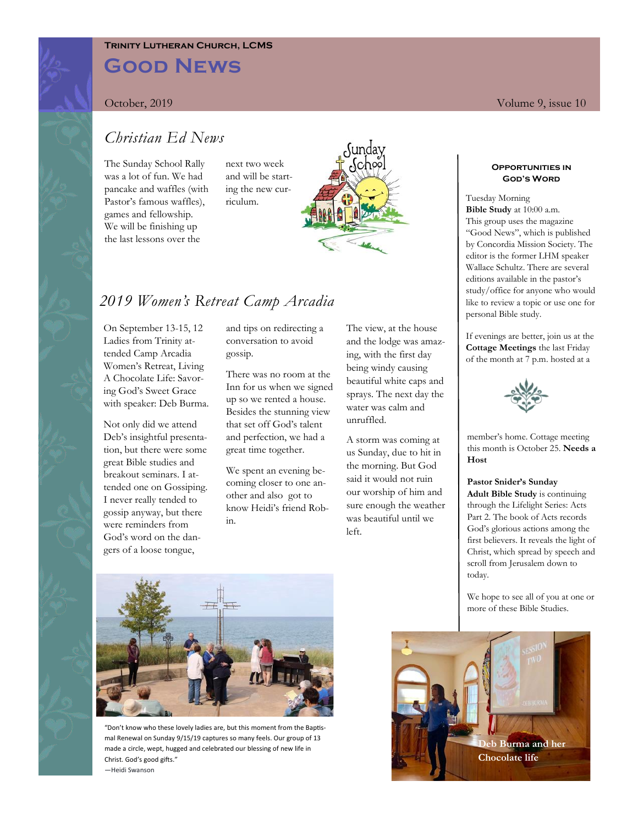### **Trinity Lutheran Church, LCMS**

# **Good News**

October, 2019 Volume 9, issue 10

### *Christian Ed News*

The Sunday School Rally was a lot of fun. We had pancake and waffles (with Pastor's famous waffles), games and fellowship. We will be finishing up the last lessons over the

next two week and will be starting the new curriculum.



## *2019 Women's Retreat Camp Arcadia*

On September 13-15, 12 Ladies from Trinity attended Camp Arcadia Women's Retreat, Living A Chocolate Life: Savoring God's Sweet Grace with speaker: Deb Burma.

Not only did we attend Deb's insightful presentation, but there were some great Bible studies and breakout seminars. I attended one on Gossiping. I never really tended to gossip anyway, but there were reminders from God's word on the dangers of a loose tongue,

and tips on redirecting a conversation to avoid gossip.

There was no room at the Inn for us when we signed up so we rented a house. Besides the stunning view that set off God's talent and perfection, we had a great time together.

We spent an evening becoming closer to one another and also got to know Heidi's friend Robin.

The view, at the house and the lodge was amazing, with the first day being windy causing beautiful white caps and sprays. The next day the water was calm and unruffled.

A storm was coming at us Sunday, due to hit in the morning. But God said it would not ruin our worship of him and sure enough the weather was beautiful until we  $le$ 

**Opportunities in** 

## **God's Word**

Tuesday Morning **Bible Study** at 10:00 a.m. This group uses the magazine "Good News", which is published by Concordia Mission Society. The editor is the former LHM speaker Wallace Schultz. There are several editions available in the pastor's study/office for anyone who would like to review a topic or use one for personal Bible study.

If evenings are better, join us at the **Cottage Meetings** the last Friday of the month at 7 p.m. hosted at a



member's home. Cottage meeting this month is October 25. **Needs a Host**

#### **Pastor Snider's Sunday**

**Adult Bible Study** is continuing through the Lifelight Series: Acts Part 2. The book of Acts records God's glorious actions among the first believers. It reveals the light of Christ, which spread by speech and scroll from Jerusalem down to today.

We hope to see all of you at one or more of these Bible Studies.



"Don't know who these lovely ladies are, but this moment from the Baptismal Renewal on Sunday 9/15/19 captures so many feels. Our group of 13 made a circle, wept, hugged and celebrated our blessing of new life in Christ. God's good gifts." —Heidi Swanson

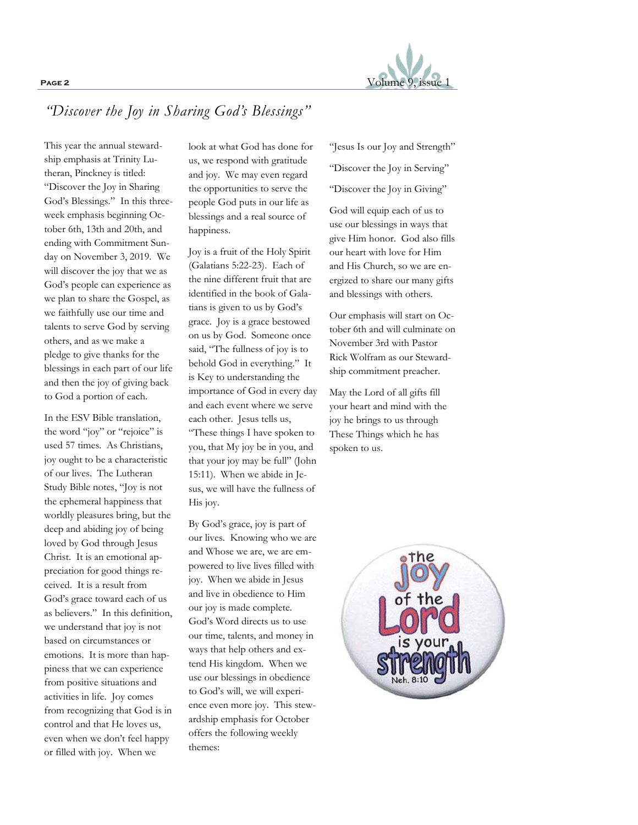

## *"Discover the Joy in Sharing God's Blessings"*

This year the annual stewardship emphasis at Trinity Lutheran, Pinckney is titled: "Discover the Joy in Sharing God's Blessings." In this threeweek emphasis beginning October 6th, 13th and 20th, and ending with Commitment Sunday on November 3, 2019. We will discover the joy that we as God's people can experience as we plan to share the Gospel, as we faithfully use our time and talents to serve God by serving others, and as we make a pledge to give thanks for the blessings in each part of our life and then the joy of giving back to God a portion of each.

In the ESV Bible translation, the word "joy" or "rejoice" is used 57 times. As Christians, joy ought to be a characteristic of our lives. The Lutheran Study Bible notes, "Joy is not the ephemeral happiness that worldly pleasures bring, but the deep and abiding joy of being loved by God through Jesus Christ. It is an emotional appreciation for good things received. It is a result from God's grace toward each of us as believers." In this definition, we understand that joy is not based on circumstances or emotions. It is more than happiness that we can experience from positive situations and activities in life. Joy comes from recognizing that God is in control and that He loves us, even when we don't feel happy or filled with joy. When we

look at what God has done for us, we respond with gratitude and joy. We may even regard the opportunities to serve the people God puts in our life as blessings and a real source of happiness.

Joy is a fruit of the Holy Spirit (Galatians 5:22-23). Each of the nine different fruit that are identified in the book of Galatians is given to us by God's grace. Joy is a grace bestowed on us by God. Someone once said, "The fullness of joy is to behold God in everything." It is Key to understanding the importance of God in every day and each event where we serve each other. Jesus tells us, "These things I have spoken to you, that My joy be in you, and that your joy may be full" (John 15:11). When we abide in Jesus, we will have the fullness of His joy.

By God's grace, joy is part of our lives. Knowing who we are and Whose we are, we are empowered to live lives filled with joy. When we abide in Jesus and live in obedience to Him our joy is made complete. God's Word directs us to use our time, talents, and money in ways that help others and extend His kingdom. When we use our blessings in obedience to God's will, we will experience even more joy. This stewardship emphasis for October offers the following weekly themes:

"Jesus Is our Joy and Strength"

"Discover the Joy in Serving"

"Discover the Joy in Giving"

God will equip each of us to use our blessings in ways that give Him honor. God also fills our heart with love for Him and His Church, so we are energized to share our many gifts and blessings with others.

Our emphasis will start on October 6th and will culminate on November 3rd with Pastor Rick Wolfram as our Stewardship commitment preacher.

May the Lord of all gifts fill your heart and mind with the joy he brings to us through These Things which he has spoken to us.

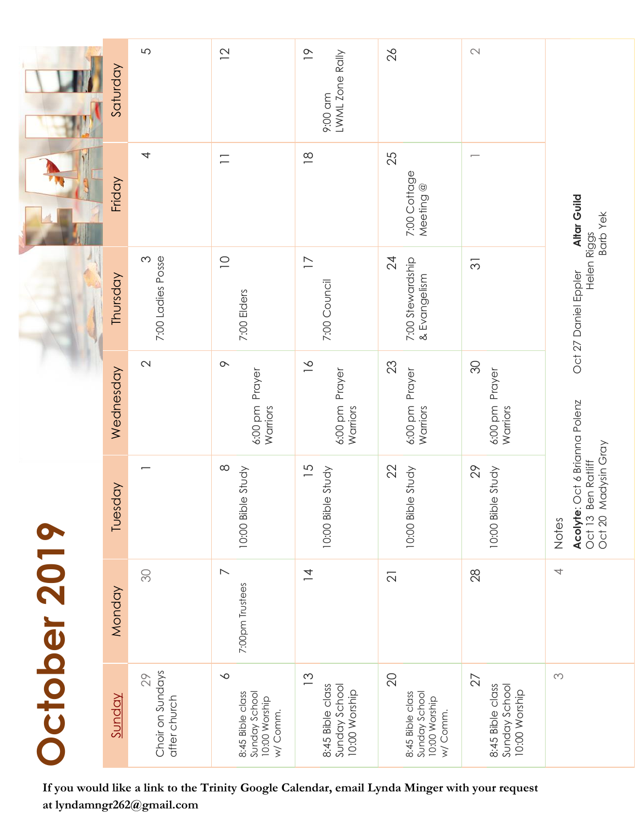|                                                                                                                            | Saturday  | 5                                      | $\overline{2}$                                                            | $\overline{0}$<br>LWML Zone Rally<br>9:00 am                        | 26                                                                               | $\hspace{.1in} \curvearrowright \hspace{.1in}$           | Altar Guild<br><b>Barb Yek</b><br>Helen Riggs<br>Oct 27 Daniel Eppler |
|----------------------------------------------------------------------------------------------------------------------------|-----------|----------------------------------------|---------------------------------------------------------------------------|---------------------------------------------------------------------|----------------------------------------------------------------------------------|----------------------------------------------------------|-----------------------------------------------------------------------|
|                                                                                                                            | Friday    | 4                                      | $\Box$                                                                    | $\frac{\infty}{2}$                                                  | 25<br>7:00 Cottage<br>Meeting <sup>@</sup>                                       |                                                          |                                                                       |
|                                                                                                                            | Thursday  | 7:00 Ladies Posse<br>$\infty$          | $\supseteq$<br>7:00 Elders                                                | $\overline{1}$<br>7:00 Council                                      | $\overline{2}$<br>7:00 Stewardship<br>& Evangelism                               | $\overline{\mathcal{E}}$                                 |                                                                       |
|                                                                                                                            | Wednesday | $\sim$                                 | $\infty$<br>Prayer<br>6:00 pm<br>Warriors                                 | $\geq$<br>Prayer<br>6:00 pm<br>Warriors                             | 23<br>6:00 pm Prayer<br>Warriors                                                 | $\infty$<br>Prayer<br>6:00 pm<br>Warriors                | Oct 6 Brianna Polenz                                                  |
| October 2019                                                                                                               | Tuesday   |                                        | $\infty$<br>10:00 Bible Study                                             | $\overline{5}$<br>10:00 Bible Study                                 | 22<br>10:00 Bible Study                                                          | 29<br>10:00 Bible Study                                  | Ben Ratliff<br>Madysin Gray<br>Acolyte:<br>Oct 13<br>Oct 20<br>Notes  |
|                                                                                                                            | Monday    | SO                                     | $\overline{\phantom{0}}$<br>7:00pm Trustees                               | $\overline{4}$                                                      | $\overline{2}$                                                                   | 28                                                       | $\overline{\phantom{a}}$                                              |
|                                                                                                                            | Sunday    | Choir on Sundays<br>29<br>after church | $\infty$<br>8:45 Bible class<br>Sunday School<br>10:00 Worship<br>w/Comm. | $\frac{3}{2}$<br>8:45 Bible class<br>Sunday School<br>10:00 Worship | $\overline{20}$<br>8:45 Bible class<br>Sunday School<br>10:00 Worship<br>w/Comm. | 27<br>8:45 Bible class<br>Sunday School<br>10:00 Worship | $\infty$                                                              |
| If you would like a link to the Trinity Google Calendar, email Lynda Minger with your request<br>at lyndamngr262@gmail.com |           |                                        |                                                                           |                                                                     |                                                                                  |                                                          |                                                                       |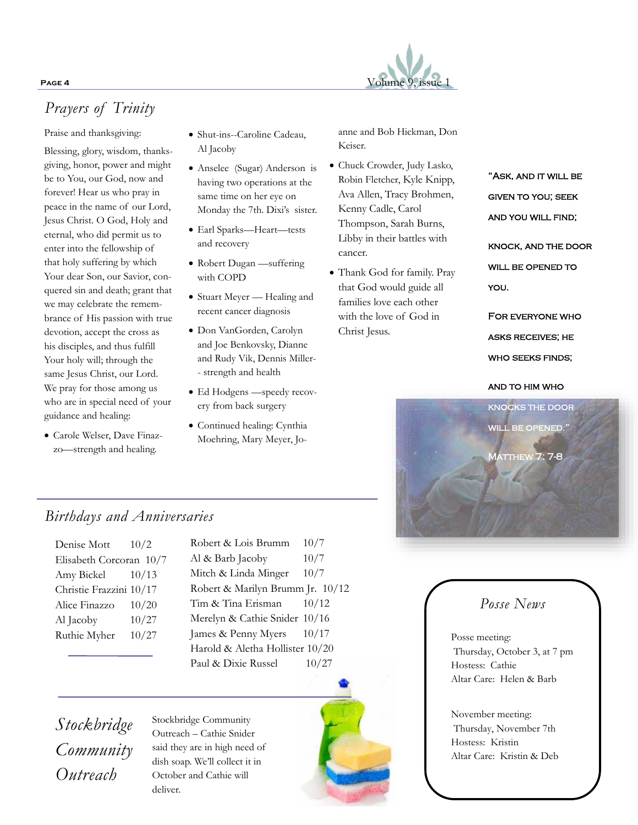### **PAGE 4** Volume 9, issue 1

## *Prayers of Trinity*

Praise and thanksgiving:

Blessing, glory, wisdom, thanksgiving, honor, power and might be to You, our God, now and forever! Hear us who pray in peace in the name of our Lord, Jesus Christ. O God, Holy and eternal, who did permit us to enter into the fellowship of that holy suffering by which Your dear Son, our Savior, conquered sin and death; grant that we may celebrate the remembrance of His passion with true devotion, accept the cross as his disciples, and thus fulfill Your holy will; through the same Jesus Christ, our Lord. We pray for those among us who are in special need of your guidance and healing:

• Carole Welser, Dave Finazzo—strength and healing.

• Shut-ins--Caroline Cadeau, Al Jacoby

• Anselee (Sugar) Anderson is having two operations at the same time on her eye on Monday the 7th. Dixi's sister.

- Earl Sparks—Heart—tests and recovery
- Robert Dugan —suffering with COPD
- Stuart Meyer Healing and recent cancer diagnosis
- Don VanGorden, Carolyn and Joe Benkovsky, Dianne and Rudy Vik, Dennis Miller- - strength and health
- Ed Hodgens —speedy recovery from back surgery
- Continued healing: Cynthia Moehring, Mary Meyer, Jo-

anne and Bob Hickman, Don Keiser.

- Chuck Crowder, Judy Lasko, Robin Fletcher, Kyle Knipp, Ava Allen, Tracy Brohmen, Kenny Cadle, Carol Thompson, Sarah Burns, Libby in their battles with cancer.
- Thank God for family. Pray that God would guide all families love each other with the love of God in Christ Jesus.

"Ask, and it will be given to you; seek AND YOU WILL FIND; knock, and the door

WILL BE OPENED TO you.

For everyone who asks receives; he WHO SEEKS FINDS;

and to him who



## *Birthdays and Anniversaries*

| Denise Mott             | 10/2  |
|-------------------------|-------|
| Elisabeth Corcoran 10/7 |       |
| Amy Bickel              | 10/13 |
| Christie Frazzini 10/17 |       |
| Alice Finazzo           | 10/20 |
| Al Jacoby               | 10/27 |
| Ruthie Myher            | 10/27 |
|                         |       |

Robert & Lois Brumm 10/7 Al & Barb Jacoby 10/7 Mitch & Linda Minger 10/7 Robert & Marilyn Brumm Jr. 10/12 Tim & Tina Erisman  $10/12$ Merelyn & Cathie Snider 10/16 James & Penny Myers 10/17 Harold & Aletha Hollister 10/20 Paul & Dixie Russel 10/27



## *Posse News*

Posse meeting: Thursday, October 3, at 7 pm Hostess: Cathie Altar Care: Helen & Barb

November meeting: Thursday, November 7th Hostess: Kristin Altar Care: Kristin & Deb

*Stockbridge Community Outreach*

Stockbridge Community Outreach – Cathie Snider said they are in high need of dish soap. We'll collect it in October and Cathie will deliver.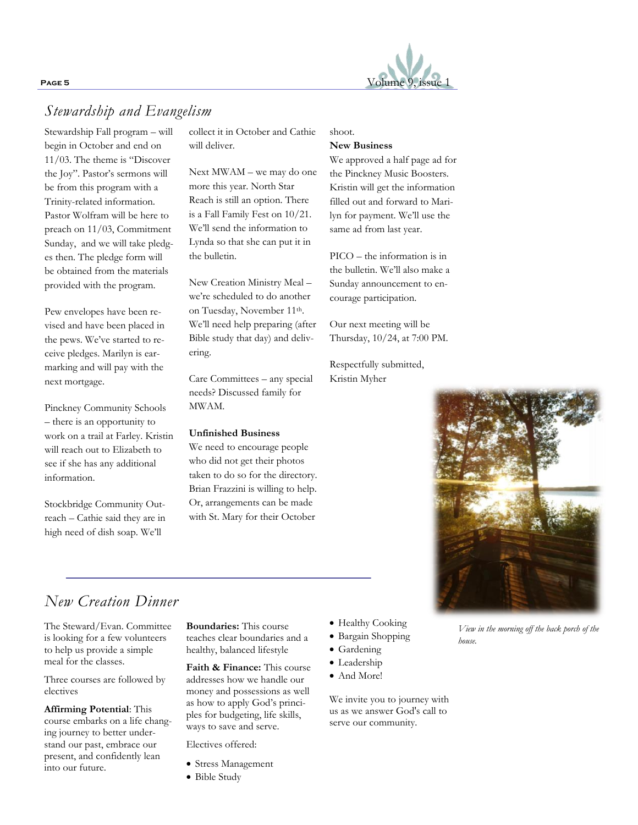

## *Stewardship and Evangelism*

Stewardship Fall program – will begin in October and end on 11/03. The theme is "Discover the Joy". Pastor's sermons will be from this program with a Trinity-related information. Pastor Wolfram will be here to preach on 11/03, Commitment Sunday, and we will take pledges then. The pledge form will be obtained from the materials provided with the program.

Pew envelopes have been revised and have been placed in the pews. We've started to receive pledges. Marilyn is earmarking and will pay with the next mortgage.

Pinckney Community Schools – there is an opportunity to work on a trail at Farley. Kristin will reach out to Elizabeth to see if she has any additional information.

Stockbridge Community Outreach – Cathie said they are in high need of dish soap. We'll

collect it in October and Cathie will deliver.

Next MWAM – we may do one more this year. North Star Reach is still an option. There is a Fall Family Fest on 10/21. We'll send the information to Lynda so that she can put it in the bulletin.

New Creation Ministry Meal – we're scheduled to do another on Tuesday, November 11th. We'll need help preparing (after Bible study that day) and delivering.

Care Committees – any special needs? Discussed family for MWAM.

### **Unfinished Business**

We need to encourage people who did not get their photos taken to do so for the directory. Brian Frazzini is willing to help. Or, arrangements can be made with St. Mary for their October

shoot.

#### **New Business**

We approved a half page ad for the Pinckney Music Boosters. Kristin will get the information filled out and forward to Marilyn for payment. We'll use the same ad from last year.

PICO – the information is in the bulletin. We'll also make a Sunday announcement to encourage participation.

Our next meeting will be Thursday, 10/24, at 7:00 PM.

Respectfully submitted, Kristin Myher



## *New Creation Dinner*

The Steward/Evan. Committee is looking for a few volunteers to help us provide a simple meal for the classes.

Three courses are followed by electives

**Affirming Potential**: This course embarks on a life changing journey to better understand our past, embrace our present, and confidently lean into our future.

**Boundaries:** This course teaches clear boundaries and a healthy, balanced lifestyle

**Faith & Finance:** This course addresses how we handle our money and possessions as well as how to apply God's principles for budgeting, life skills, ways to save and serve.

Electives offered:

- Stress Management
- Bible Study
- Healthy Cooking
- Bargain Shopping
- Gardening
- Leadership
- And More!

We invite you to journey with us as we answer God's call to serve our community.

*View in the morning off the back porch of the house.*